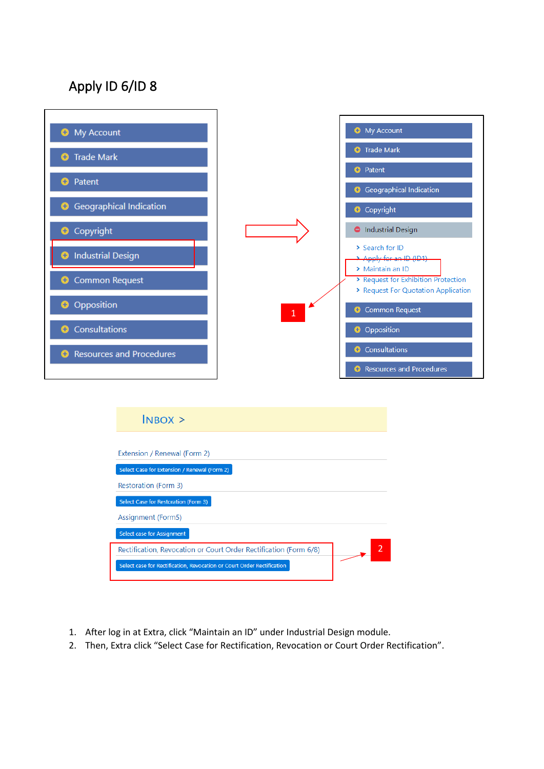## Apply ID 6/ID 8





- 1. After log in at Extra, click "Maintain an ID" under Industrial Design module.
- 2. Then, Extra click "Select Case for Rectification, Revocation or Court Order Rectification".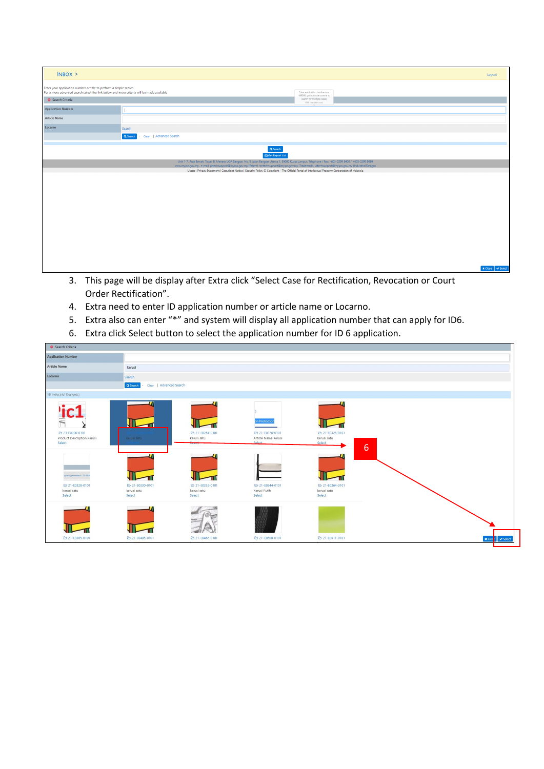| $INBOX$ >                                                                                                                                                      |                                                                                                                                                                                                                                                                                                                  |                                                                                   | Logout                                         |
|----------------------------------------------------------------------------------------------------------------------------------------------------------------|------------------------------------------------------------------------------------------------------------------------------------------------------------------------------------------------------------------------------------------------------------------------------------------------------------------|-----------------------------------------------------------------------------------|------------------------------------------------|
| Enter your application number or title to perform a simple search<br>For a more advanced search select the link below and more criteria will be made available |                                                                                                                                                                                                                                                                                                                  | Enter application number e.g.                                                     |                                                |
| Search Criteria                                                                                                                                                |                                                                                                                                                                                                                                                                                                                  | 169088, you can use comma to<br>search for multiple cases<br>1500 characters max. |                                                |
| <b>Application Number</b>                                                                                                                                      |                                                                                                                                                                                                                                                                                                                  |                                                                                   |                                                |
| <b>Article Name</b>                                                                                                                                            |                                                                                                                                                                                                                                                                                                                  |                                                                                   |                                                |
| Locarno                                                                                                                                                        | Search                                                                                                                                                                                                                                                                                                           |                                                                                   |                                                |
|                                                                                                                                                                | Q Search<br>Clear   Advanced Search                                                                                                                                                                                                                                                                              |                                                                                   |                                                |
|                                                                                                                                                                | Q Search<br>Get Report List                                                                                                                                                                                                                                                                                      |                                                                                   |                                                |
|                                                                                                                                                                | Unit 1-7, Aras Bawah, Tower B, Menara UOA Bangsar, No. 5, Jalan Bangsar Utama 1, 59000 Kuala Lumpur. Telephone / Fax: +603-2299 8400 / +603-2299 8989<br>www.myipo.gov.my . e-mail: pttechsupport@myipo.gov.my (Patent), tmtechsupport@myipo.gov.my (Trademark), idtechsupport@myipo.gov.my (Industrial Design). |                                                                                   |                                                |
|                                                                                                                                                                | Usage   Privacy Statement   Copyright Notice   Security Policy © Copyright - The Official Portal of Intellectual Property Corporation of Malaysia                                                                                                                                                                |                                                                                   |                                                |
|                                                                                                                                                                |                                                                                                                                                                                                                                                                                                                  |                                                                                   |                                                |
|                                                                                                                                                                |                                                                                                                                                                                                                                                                                                                  |                                                                                   |                                                |
|                                                                                                                                                                |                                                                                                                                                                                                                                                                                                                  |                                                                                   |                                                |
|                                                                                                                                                                |                                                                                                                                                                                                                                                                                                                  |                                                                                   |                                                |
|                                                                                                                                                                |                                                                                                                                                                                                                                                                                                                  |                                                                                   |                                                |
|                                                                                                                                                                |                                                                                                                                                                                                                                                                                                                  |                                                                                   |                                                |
|                                                                                                                                                                |                                                                                                                                                                                                                                                                                                                  |                                                                                   |                                                |
|                                                                                                                                                                |                                                                                                                                                                                                                                                                                                                  |                                                                                   |                                                |
|                                                                                                                                                                |                                                                                                                                                                                                                                                                                                                  |                                                                                   |                                                |
|                                                                                                                                                                |                                                                                                                                                                                                                                                                                                                  |                                                                                   |                                                |
|                                                                                                                                                                |                                                                                                                                                                                                                                                                                                                  |                                                                                   | $\blacktriangleright$ Select<br><b>x</b> Close |

- 3. This page will be display after Extra click "Select Case for Rectification, Revocation or Court Order Rectification".
- 4. Extra need to enter ID application number or article name or Locarno.
- 5. Extra also can enter "\*" and system will display all application number that can apply for ID6.
- 6. Extra click Select button to select the application number for ID 6 application.

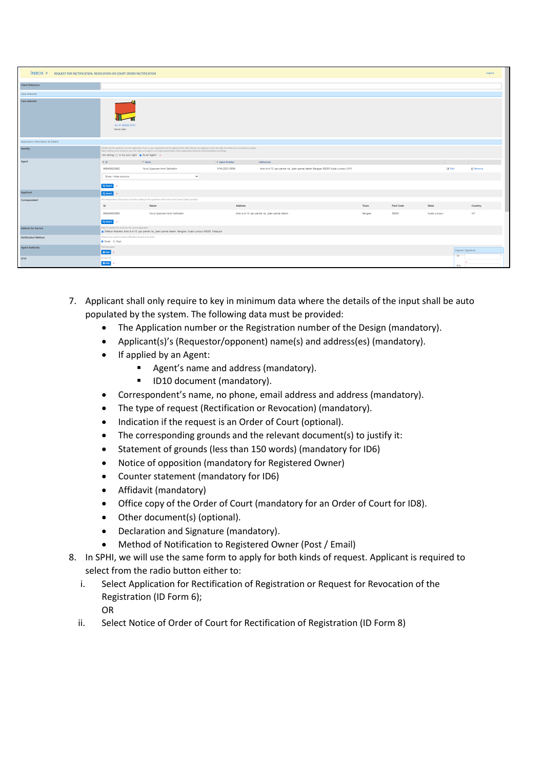| $N_{\rm BOX}$ > REQUEST FOR RECTIFICATION, REVOCATION OR COURT ORDER RECTIFICATION |                                                                                                                                                                                                                                                                                                                                                                                                            |                                                                                                                        |                |                                                                                 |         |                  |              |                          | Logout          |
|------------------------------------------------------------------------------------|------------------------------------------------------------------------------------------------------------------------------------------------------------------------------------------------------------------------------------------------------------------------------------------------------------------------------------------------------------------------------------------------------------|------------------------------------------------------------------------------------------------------------------------|----------------|---------------------------------------------------------------------------------|---------|------------------|--------------|--------------------------|-----------------|
| <b>Client Reference</b>                                                            |                                                                                                                                                                                                                                                                                                                                                                                                            |                                                                                                                        |                |                                                                                 |         |                  |              |                          |                 |
| Case Selected                                                                      |                                                                                                                                                                                                                                                                                                                                                                                                            |                                                                                                                        |                |                                                                                 |         |                  |              |                          |                 |
| <b>Case Selected</b>                                                               | 23-80252-0101<br>kerusi satu                                                                                                                                                                                                                                                                                                                                                                               |                                                                                                                        |                |                                                                                 |         |                  |              |                          |                 |
| Applicant's Information & Details                                                  |                                                                                                                                                                                                                                                                                                                                                                                                            |                                                                                                                        |                |                                                                                 |         |                  |              |                          |                 |
| Identity                                                                           | identify who the applicant is for this application. If you or your organisation are the applicant then select that you are applying in your own right, if not then you are acting as an agent.<br>Select whether you're acting for your own right, as an agent or as a legal representative, where appropriate addresses will be populated accordingly.<br>I am acting : O In my own right @ As an Agent @ |                                                                                                                        |                |                                                                                 |         |                  |              |                          |                 |
| Agent                                                                              | $0$ Id                                                                                                                                                                                                                                                                                                                                                                                                     | $A$ Name                                                                                                               | 0 Agent Number | Address(es)                                                                     |         |                  |              |                          |                 |
|                                                                                    | 960409025982                                                                                                                                                                                                                                                                                                                                                                                               | Nurul Syazwani binti Saifuddin                                                                                         | MYA/2021/0006  | blok d-4-13, ppr pantai ria, jalan pantai dalam Bangsar 59200 Kuala Lumpur (MY) |         |                  |              | <b>C</b> Edit            | <b>B</b> Remove |
|                                                                                    | Show / Hide columns                                                                                                                                                                                                                                                                                                                                                                                        | $\checkmark$                                                                                                           |                |                                                                                 |         |                  |              |                          |                 |
|                                                                                    | Q Search                                                                                                                                                                                                                                                                                                                                                                                                   |                                                                                                                        |                |                                                                                 |         |                  |              |                          |                 |
| Applicant                                                                          | Q Search                                                                                                                                                                                                                                                                                                                                                                                                   |                                                                                                                        |                |                                                                                 |         |                  |              |                          |                 |
| Correspondent                                                                      |                                                                                                                                                                                                                                                                                                                                                                                                            | All correspondence (Discussions and Tasks) relating to this application will be sent to the Contact Details specified. |                |                                                                                 |         |                  |              |                          |                 |
|                                                                                    | <b>Id</b>                                                                                                                                                                                                                                                                                                                                                                                                  | Name                                                                                                                   | Address        |                                                                                 | Town    | <b>Post Code</b> | State        |                          | Country         |
|                                                                                    | 960409025982                                                                                                                                                                                                                                                                                                                                                                                               | Nurul Syazwani binti Saifuddin                                                                                         |                | blok d-4-13, ppr pantai ria, jalan pantai dalam                                 | Bangsar | 59200            | Kuala Lumpur |                          | MY.             |
|                                                                                    | Q Search                                                                                                                                                                                                                                                                                                                                                                                                   |                                                                                                                        |                |                                                                                 |         |                  |              |                          |                 |
| <b>Address for Service</b>                                                         | Select an address for service for the current application<br>@ Default Address: blok d-4-13, ppr pantai ria, jalan pantai dalam, Bangsar, Kuala Lumpur 59200, Malaysia                                                                                                                                                                                                                                     |                                                                                                                        |                |                                                                                 |         |                  |              |                          |                 |
| <b>Notification Method</b>                                                         | Choose if you want to receive notifications by post or by email<br><b>O</b> Email O Post                                                                                                                                                                                                                                                                                                                   |                                                                                                                        |                |                                                                                 |         |                  |              |                          |                 |
| <b>Agent Authority</b>                                                             | <b>POA Document</b><br>OAdd .                                                                                                                                                                                                                                                                                                                                                                              |                                                                                                                        |                |                                                                                 |         |                  |              | Digicert Signature<br>ID |                 |
| <b>ID10</b>                                                                        | D Form 10                                                                                                                                                                                                                                                                                                                                                                                                  |                                                                                                                        |                |                                                                                 |         |                  |              |                          |                 |
|                                                                                    | O Add                                                                                                                                                                                                                                                                                                                                                                                                      |                                                                                                                        |                |                                                                                 |         |                  |              | <b>PIN</b>               |                 |

- 7. Applicant shall only require to key in minimum data where the details of the input shall be auto populated by the system. The following data must be provided:
	- The Application number or the Registration number of the Design (mandatory).
	- Applicant(s)'s (Requestor/opponent) name(s) and address(es) (mandatory).
	- If applied by an Agent:
		- Agent's name and address (mandatory).
		- ID10 document (mandatory).
	- Correspondent's name, no phone, email address and address (mandatory).
	- The type of request (Rectification or Revocation) (mandatory).
	- Indication if the request is an Order of Court (optional).
	- The corresponding grounds and the relevant document(s) to justify it:
	- Statement of grounds (less than 150 words) (mandatory for ID6)
	- Notice of opposition (mandatory for Registered Owner)
	- Counter statement (mandatory for ID6)
	- Affidavit (mandatory)
	- Office copy of the Order of Court (mandatory for an Order of Court for ID8).
	- Other document(s) (optional).
	- Declaration and Signature (mandatory).
	- Method of Notification to Registered Owner (Post / Email)
- 8. In SPHI, we will use the same form to apply for both kinds of request. Applicant is required to select from the radio button either to:
	- i. Select Application for Rectification of Registration or Request for Revocation of the Registration (ID Form 6);

OR

ii. Select Notice of Order of Court for Rectification of Registration (ID Form 8)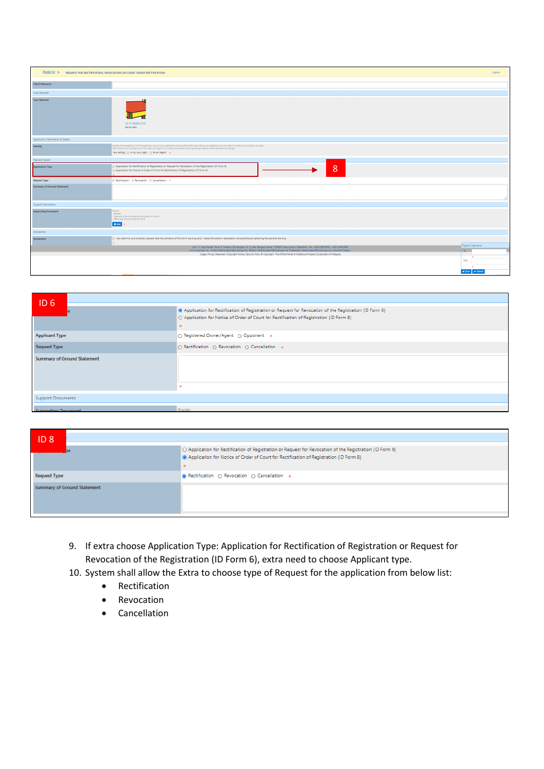| $N$ BOX $>$                        | REQUEST FOR RECTIFICATION, REVOCATION OR COURT ORDER RECTIFICATION                                                                                                                                                                                                                                                                                                                                               | Logout                    |
|------------------------------------|------------------------------------------------------------------------------------------------------------------------------------------------------------------------------------------------------------------------------------------------------------------------------------------------------------------------------------------------------------------------------------------------------------------|---------------------------|
| <b>Client Reference</b>            |                                                                                                                                                                                                                                                                                                                                                                                                                  |                           |
| Case Selected                      |                                                                                                                                                                                                                                                                                                                                                                                                                  |                           |
| Case Selected                      | 21-80252-0101<br>kerusi satu                                                                                                                                                                                                                                                                                                                                                                                     |                           |
| Applicant's Information & Details  |                                                                                                                                                                                                                                                                                                                                                                                                                  |                           |
| Identity                           | Identify who the applicant is for this application. If you or your organisation are the applicant then select that you are applying in your own right, if not then you are acting as an agent.<br>Select whether you're acting for your own right, as an agent or as a legal representative, where appropriate addresses will be populated accordingly.<br>I am acting : ( ) In my own right ( ) As an Agent ( + |                           |
| Request Details                    |                                                                                                                                                                                                                                                                                                                                                                                                                  |                           |
| <b>Application Type</b>            | O Application for Rectification of Registration or Request for Revocation of the Registration (ID Form 6)<br>8<br>() Application for Notice of Order of Court for Rectification of Registration (ID Form 8)                                                                                                                                                                                                      |                           |
| <b>Request Type</b>                | O Rectification O Revocation O Cancellation .                                                                                                                                                                                                                                                                                                                                                                    |                           |
| <b>Summary of Ground Statement</b> |                                                                                                                                                                                                                                                                                                                                                                                                                  |                           |
| Support Documents                  |                                                                                                                                                                                                                                                                                                                                                                                                                  |                           |
| <b>Supporting Document</b>         | Provide:<br>Affidavit<br>Statement of Ground (Statutory Declaration) for Form 6<br>· Office Copy of Court Order for Form 8<br>O Add                                                                                                                                                                                                                                                                              |                           |
| Declaration                        |                                                                                                                                                                                                                                                                                                                                                                                                                  |                           |
| <b>Declaration</b>                 | (1) I do solemnly and sincerely declare that the contents of this form are true and I make this solemn declaration conscientiously believing the same to be true.                                                                                                                                                                                                                                                |                           |
|                                    | Unit 1-7, Aras Bawah, Tower B, Menara UOA Bangsar, No. 5, Jalan Bangsar Utama 1, 59000 Kuala Lumpur. Telephone / Fax: +603-2299 8400 / +603-2299 8989<br>www.myipo.gov.my . e-mail: pttechsupport@myipo.gov.my (Patent), tmtechsupport@myipo.gov.my (Trademark), idtechsupport@myipo.gov.my (Industrial Design).                                                                                                 | Digicert Signature<br>ID. |
|                                    | Usage   Privacy Statement   Copyright Notice   Security Policy ® Copyright - The Official Portal of Intellectual Property Corporation of Malaysia                                                                                                                                                                                                                                                                |                           |
|                                    |                                                                                                                                                                                                                                                                                                                                                                                                                  | PIN                       |
|                                    |                                                                                                                                                                                                                                                                                                                                                                                                                  | x Close v Submit          |

| ID <sub>6</sub>                    |                                                                                                                                                                                                                        |
|------------------------------------|------------------------------------------------------------------------------------------------------------------------------------------------------------------------------------------------------------------------|
|                                    | (iii) Application for Rectification of Registration or Request for Revocation of the Registration (ID Form 6)<br>O Application for Notice of Order of Court for Rectification of Registration (ID Form 8)<br>$\bullet$ |
| <b>Applicant Type</b>              | ○ Registered Owner/Agent ○ Opponent ●                                                                                                                                                                                  |
| <b>Request Type</b>                | O Rectification O Revocation O Cancellation .                                                                                                                                                                          |
| <b>Summary of Ground Statement</b> |                                                                                                                                                                                                                        |
|                                    |                                                                                                                                                                                                                        |
| <b>Support Documents</b>           |                                                                                                                                                                                                                        |
| Construction Programment           | Previde :                                                                                                                                                                                                              |

| $ D_8 $                            |                                                                                                                                                                                                     |
|------------------------------------|-----------------------------------------------------------------------------------------------------------------------------------------------------------------------------------------------------|
|                                    | O Application for Rectification of Registration or Request for Revocation of the Registration (ID Form 6)<br>Application for Notice of Order of Court for Rectification of Registration (ID Form 8) |
| <b>Request Type</b>                | ● Rectification ○ Revocation ○ Cancellation ●                                                                                                                                                       |
| <b>Summary of Ground Statement</b> |                                                                                                                                                                                                     |

- 9. If extra choose Application Type: Application for Rectification of Registration or Request for Revocation of the Registration (ID Form 6), extra need to choose Applicant type.
- 10. System shall allow the Extra to choose type of Request for the application from below list:
	- Rectification
	- Revocation
	- Cancellation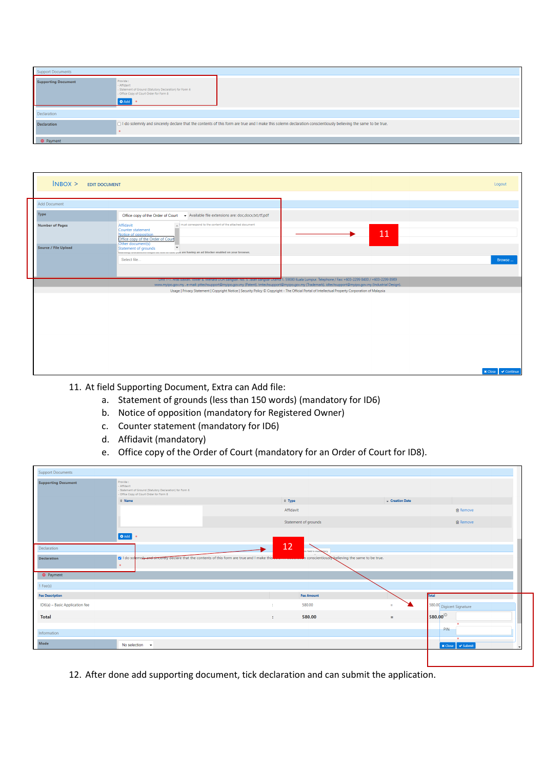| <b>Support Documents</b>   |                                                                                                                                                                 |  |  |  |
|----------------------------|-----------------------------------------------------------------------------------------------------------------------------------------------------------------|--|--|--|
| <b>Supporting Document</b> | Provide:<br>- Affidavit<br>- Statement of Ground (Statutory Declaration) for Form 6<br>- Office Copy of Court Order for Form 8<br><b>O</b> Add                  |  |  |  |
| Declaration                |                                                                                                                                                                 |  |  |  |
| <b>Declaration</b>         | □ I do solemnly and sincerely declare that the contents of this form are true and I make this solemn declaration conscientiously believing the same to be true. |  |  |  |
| <b>O</b> Payment           |                                                                                                                                                                 |  |  |  |

| $INBOX$ > EDIT DOCUMENT     |                                                                                                                                                                                                                                                                                                                  | Logout                            |
|-----------------------------|------------------------------------------------------------------------------------------------------------------------------------------------------------------------------------------------------------------------------------------------------------------------------------------------------------------|-----------------------------------|
| <b>Add Document</b>         |                                                                                                                                                                                                                                                                                                                  |                                   |
| <b>Type</b>                 | - Available file extensions are: doc,docx,txt,rtf,pdf<br>Office copy of the Order of Court                                                                                                                                                                                                                       |                                   |
| <b>Number of Pages</b>      | I must correspond to the content of the attached document<br>Affidavit<br>Counter statement<br>Notice of opposition<br>Office copy of the Order of Court<br>Other document(s)                                                                                                                                    | 11                                |
| <b>Source / File Upload</b> | Statement of grounds<br>www.migroovemento.ingin.ov. now in case you are having an ad blocker enabled on your browser.<br>Select file                                                                                                                                                                             | Browse                            |
|                             | Unit 1-7, Aras Bawah, Tower B, Menara UOA Bangsar, No. 5, Jalan Bangsar Utama 1, 59000 Kuala Lumpur. Telephone / Fax: +603-2299 8400 / +603-2299 8989<br>www.myipo.gov.my . e-mail: pttechsupport@myipo.gov.my (Patent), tmtechsupport@myipo.gov.my (Trademark), idtechsupport@myipo.gov.my (Industrial Design). |                                   |
|                             | Usage   Privacy Statement   Copyright Notice   Security Policy © Copyright - The Official Portal of Intellectual Property Corporation of Malaysia                                                                                                                                                                |                                   |
|                             |                                                                                                                                                                                                                                                                                                                  |                                   |
|                             |                                                                                                                                                                                                                                                                                                                  |                                   |
|                             |                                                                                                                                                                                                                                                                                                                  |                                   |
|                             |                                                                                                                                                                                                                                                                                                                  | $\vee$ Continue<br><b>x</b> Close |

11. At field Supporting Document, Extra can Add file:

- a. Statement of grounds (less than 150 words) (mandatory for ID6)
- b. Notice of opposition (mandatory for Registered Owner)
- c. Counter statement (mandatory for ID6)
- d. Affidavit (mandatory)
- e. Office copy of the Order of Court (mandatory for an Order of Court for ID8).

| <b>Support Documents</b>       |                                                                                                                                |                                                  |                 |                           |
|--------------------------------|--------------------------------------------------------------------------------------------------------------------------------|--------------------------------------------------|-----------------|---------------------------|
| <b>Supporting Document</b>     | Provide:<br>- Affidavit<br>- Statement of Ground (Statutory Declaration) for Form 6<br>- Office Copy of Court Order for Form 8 |                                                  |                 |                           |
|                                | $\Leftrightarrow$ Name                                                                                                         | $=$ Type                                         | - Creation Date |                           |
|                                |                                                                                                                                | Affidavit                                        |                 | <b>自 Remove</b>           |
|                                |                                                                                                                                | Statement of grounds                             |                 | <b>自 Remove</b>           |
|                                | O Add   o                                                                                                                      |                                                  |                 |                           |
| Declaration                    |                                                                                                                                | 12<br>is field is manuatory                      |                 |                           |
| <b>Declaration</b>             | v I do solemnly and sincerely declare that the contents of this form are true and I make this<br>$\bullet$                     | n conscientiously believing the same to be true. |                 |                           |
| <b>O</b> Payment               |                                                                                                                                |                                                  |                 |                           |
| 1 Fee(s)                       |                                                                                                                                |                                                  |                 |                           |
| <b>Fee Description</b>         |                                                                                                                                | <b>Fee Amount</b>                                |                 | <b>Total</b>              |
| ID6(a) - Basic Application fee |                                                                                                                                | 580.00<br>٠                                      | $\equiv$        | 580.00 Digicert Signature |
| <b>Total</b>                   |                                                                                                                                | 580.00<br>÷.                                     | $=$             | 580.00 <sup>ID</sup>      |
|                                |                                                                                                                                |                                                  |                 | PIN                       |
| Information                    |                                                                                                                                |                                                  |                 | $\overline{\phantom{a}}$  |

12. After done add supporting document, tick declaration and can submit the application.